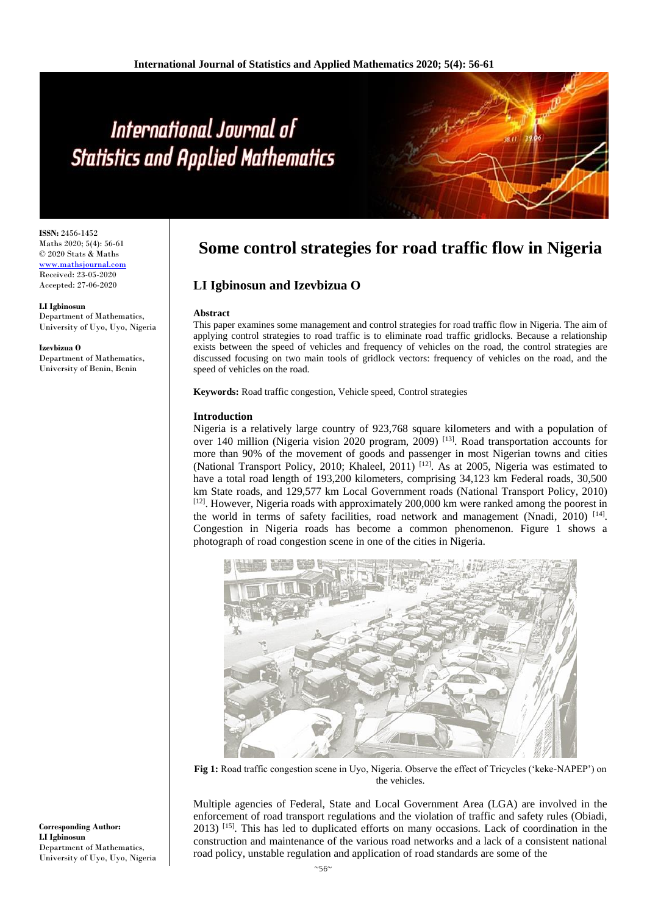# International Journal of **Statistics and Applied Mathematics**

**ISSN:** 2456-1452 Maths 2020; 5(4): 56-61 © 2020 Stats & Maths <www.mathsjournal.com> Received: 23-05-2020 Accepted: 27-06-2020

**LI Igbinosun** Department of Mathematics, University of Uyo, Uyo, Nigeria

**Izevbizua O** Department of Mathematics, University of Benin, Benin

## **Some control strategies for road traffic flow in Nigeria**

### **LI Igbinosun and Izevbizua O**

#### **Abstract**

This paper examines some management and control strategies for road traffic flow in Nigeria. The aim of applying control strategies to road traffic is to eliminate road traffic gridlocks. Because a relationship exists between the speed of vehicles and frequency of vehicles on the road, the control strategies are discussed focusing on two main tools of gridlock vectors: frequency of vehicles on the road, and the speed of vehicles on the road.

**Keywords:** Road traffic congestion, Vehicle speed, Control strategies

#### **Introduction**

Nigeria is a relatively large country of 923,768 square kilometers and with a population of over 140 million (Nigeria vision 2020 program, 2009) [13]. Road transportation accounts for more than 90% of the movement of goods and passenger in most Nigerian towns and cities (National Transport Policy, 2010; Khaleel, 2011)<sup>[12]</sup>. As at 2005, Nigeria was estimated to have a total road length of 193,200 kilometers, comprising 34,123 km Federal roads, 30,500 km State roads, and 129,577 km Local Government roads (National Transport Policy, 2010) [12]. However, Nigeria roads with approximately 200,000 km were ranked among the poorest in the world in terms of safety facilities, road network and management (Nnadi*,* 2010) [14] . Congestion in Nigeria roads has become a common phenomenon. Figure 1 shows a photograph of road congestion scene in one of the cities in Nigeria.



**Fig 1:** Road traffic congestion scene in Uyo, Nigeria. Observe the effect of Tricycles ('keke-NAPEP') on the vehicles.

Multiple agencies of Federal, State and Local Government Area (LGA) are involved in the enforcement of road transport regulations and the violation of traffic and safety rules (Obiadi, 2013) [15]. This has led to duplicated efforts on many occasions. Lack of coordination in the construction and maintenance of the various road networks and a lack of a consistent national road policy, unstable regulation and application of road standards are some of the

**Corresponding Author: LI Igbinosun** Department of Mathematics, University of Uyo, Uyo, Nigeria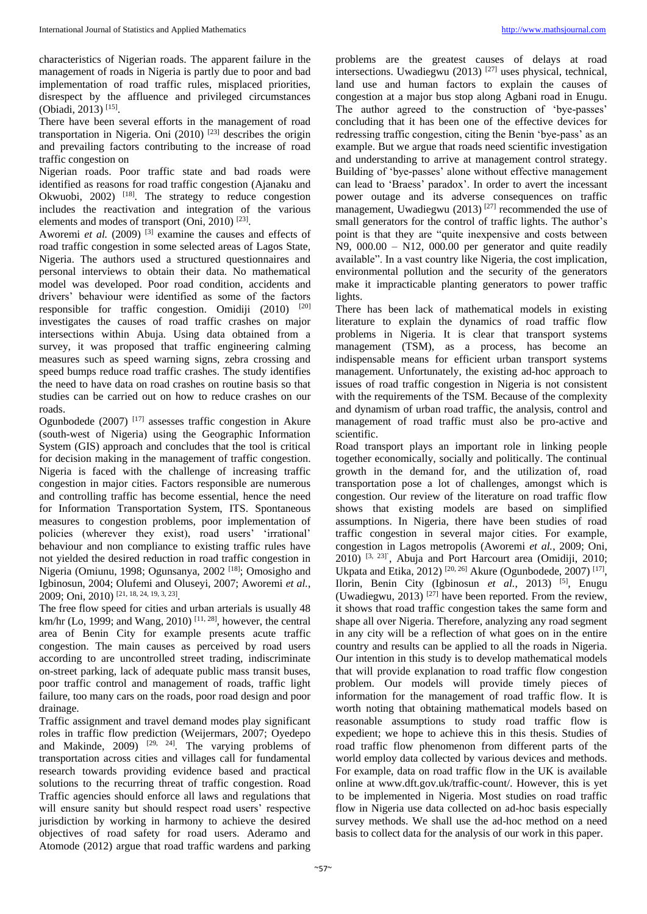characteristics of Nigerian roads. The apparent failure in the management of roads in Nigeria is partly due to poor and bad implementation of road traffic rules, misplaced priorities, disrespect by the affluence and privileged circumstances (Obiadi, 2013) [15] .

There have been several efforts in the management of road transportation in Nigeria. Oni  $(2010)$  <sup>[23]</sup> describes the origin and prevailing factors contributing to the increase of road traffic congestion on

Nigerian roads. Poor traffic state and bad roads were identified as reasons for road traffic congestion (Ajanaku and Okwuobi, 2002)  $^{[18]}$ . The strategy to reduce congestion includes the reactivation and integration of the various elements and modes of transport  $(Oni, 2010)$ <sup>[23]</sup>.

Aworemi *et al.* (2009)<sup>[3]</sup> examine the causes and effects of road traffic congestion in some selected areas of Lagos State, Nigeria. The authors used a structured questionnaires and personal interviews to obtain their data. No mathematical model was developed. Poor road condition, accidents and drivers' behaviour were identified as some of the factors responsible for traffic congestion. Omidiji (2010) [20] investigates the causes of road traffic crashes on major intersections within Abuja. Using data obtained from a survey, it was proposed that traffic engineering calming measures such as speed warning signs, zebra crossing and speed bumps reduce road traffic crashes. The study identifies the need to have data on road crashes on routine basis so that studies can be carried out on how to reduce crashes on our roads.

Ogunbodede (2007) [17] assesses traffic congestion in Akure (south-west of Nigeria) using the Geographic Information System (GIS) approach and concludes that the tool is critical for decision making in the management of traffic congestion. Nigeria is faced with the challenge of increasing traffic congestion in major cities. Factors responsible are numerous and controlling traffic has become essential, hence the need for Information Transportation System, ITS. Spontaneous measures to congestion problems, poor implementation of policies (wherever they exist), road users' 'irrational' behaviour and non compliance to existing traffic rules have not yielded the desired reduction in road traffic congestion in Nigeria (Omiunu, 1998; Ogunsanya, 2002<sup>[18]</sup>; Omosigho and Igbinosun, 2004; Olufemi and Oluseyi, 2007; Aworemi *et al.*, 2009; Oni, 2010) [21, 18, 24, 19, 3, 23] .

The free flow speed for cities and urban arterials is usually 48 km/hr (Lo, 1999; and Wang, 2010)<sup>[11, 28]</sup>, however, the central area of Benin City for example presents acute traffic congestion. The main causes as perceived by road users according to are uncontrolled street trading, indiscriminate on-street parking, lack of adequate public mass transit buses, poor traffic control and management of roads, traffic light failure, too many cars on the roads, poor road design and poor drainage.

Traffic assignment and travel demand modes play significant roles in traffic flow prediction (Weijermars, 2007; Oyedepo and Makinde,  $2009$  <sup>[29, 24]</sup>. The varying problems of transportation across cities and villages call for fundamental research towards providing evidence based and practical solutions to the recurring threat of traffic congestion. Road Traffic agencies should enforce all laws and regulations that will ensure sanity but should respect road users' respective jurisdiction by working in harmony to achieve the desired objectives of road safety for road users. Aderamo and Atomode (2012) argue that road traffic wardens and parking

problems are the greatest causes of delays at road intersections. Uwadiegwu (2013)  $[27]$  uses physical, technical, land use and human factors to explain the causes of congestion at a major bus stop along Agbani road in Enugu. The author agreed to the construction of 'bye-passes' concluding that it has been one of the effective devices for redressing traffic congestion, citing the Benin 'bye-pass' as an example. But we argue that roads need scientific investigation and understanding to arrive at management control strategy. Building of 'bye-passes' alone without effective management can lead to 'Braess' paradox'. In order to avert the incessant power outage and its adverse consequences on traffic management, Uwadiegwu (2013)<sup>[27]</sup> recommended the use of small generators for the control of traffic lights. The author's point is that they are "quite inexpensive and costs between  $N9$ ,  $000.00 - N12$ ,  $000.00$  per generator and quite readily available". In a vast country like Nigeria, the cost implication, environmental pollution and the security of the generators make it impracticable planting generators to power traffic lights.

There has been lack of mathematical models in existing literature to explain the dynamics of road traffic flow problems in Nigeria. It is clear that transport systems management (TSM), as a process, has become an indispensable means for efficient urban transport systems management. Unfortunately, the existing ad-hoc approach to issues of road traffic congestion in Nigeria is not consistent with the requirements of the TSM. Because of the complexity and dynamism of urban road traffic, the analysis, control and management of road traffic must also be pro-active and scientific.

Road transport plays an important role in linking people together economically, socially and politically. The continual growth in the demand for, and the utilization of, road transportation pose a lot of challenges, amongst which is congestion. Our review of the literature on road traffic flow shows that existing models are based on simplified assumptions. In Nigeria, there have been studies of road traffic congestion in several major cities. For example, congestion in Lagos metropolis (Aworemi *et al.*, 2009; Oni, 2010) [3, 23]` , Abuja and Port Harcourt area (Omidiji, 2010; Ukpata and Etika, 2012)<sup>[20, 26]</sup> Akure (Ogunbodede, 2007)<sup>[17]</sup>, Ilorin, Benin City (Igbinosun *et al.*, 2013) [5], Enugu (Uwadiegwu, 2013)<sup>[27]</sup> have been reported. From the review, it shows that road traffic congestion takes the same form and shape all over Nigeria. Therefore, analyzing any road segment in any city will be a reflection of what goes on in the entire country and results can be applied to all the roads in Nigeria. Our intention in this study is to develop mathematical models that will provide explanation to road traffic flow congestion problem. Our models will provide timely pieces of information for the management of road traffic flow. It is worth noting that obtaining mathematical models based on reasonable assumptions to study road traffic flow is expedient; we hope to achieve this in this thesis. Studies of road traffic flow phenomenon from different parts of the world employ data collected by various devices and methods. For example, data on road traffic flow in the UK is available online at www.dft.gov.uk/traffic-count/. However, this is yet to be implemented in Nigeria. Most studies on road traffic flow in Nigeria use data collected on ad-hoc basis especially survey methods. We shall use the ad-hoc method on a need basis to collect data for the analysis of our work in this paper.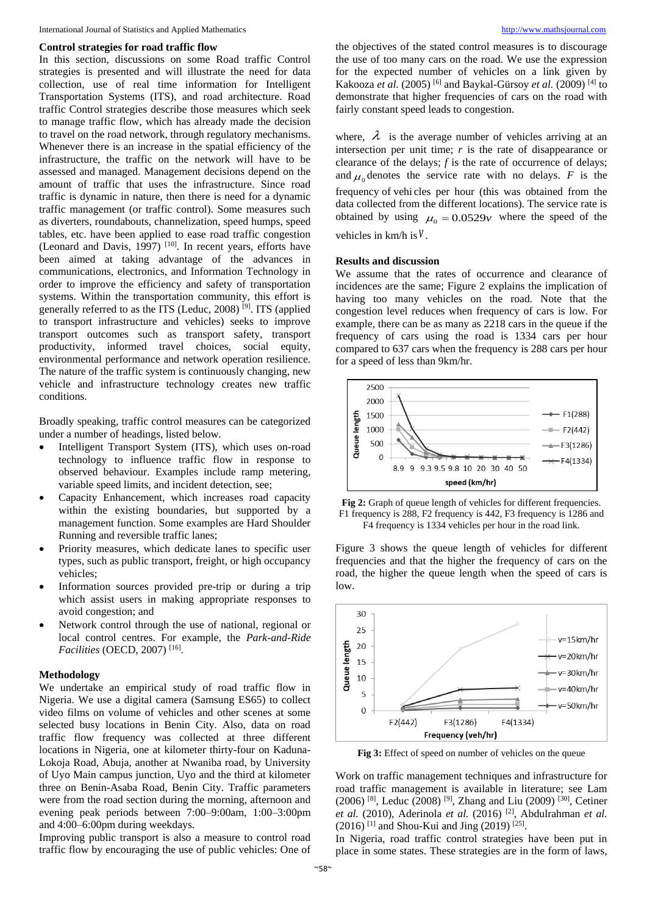#### **Control strategies for road traffic flow**

In this section, discussions on some Road traffic Control strategies is presented and will illustrate the need for data collection, use of real time information for Intelligent Transportation Systems (ITS), and road architecture. Road traffic Control strategies describe those measures which seek to manage traffic flow, which has already made the decision to travel on the road network, through regulatory mechanisms. Whenever there is an increase in the spatial efficiency of the infrastructure, the traffic on the network will have to be assessed and managed. Management decisions depend on the amount of traffic that uses the infrastructure. Since road traffic is dynamic in nature, then there is need for a dynamic traffic management (or traffic control). Some measures such as diverters, roundabouts, channelization, speed humps, speed tables, etc. have been applied to ease road traffic congestion (Leonard and Davis,  $1997$ )  $[10]$ . In recent years, efforts have been aimed at taking advantage of the advances in communications, electronics, and Information Technology in order to improve the efficiency and safety of transportation systems. Within the transportation community, this effort is generally referred to as the ITS (Leduc, 2008) [9]. ITS (applied to transport infrastructure and vehicles) seeks to improve transport outcomes such as transport safety, transport productivity, informed travel choices, social equity, environmental performance and network operation resilience. The nature of the traffic system is continuously changing, new vehicle and infrastructure technology creates new traffic conditions.

Broadly speaking, traffic control measures can be categorized under a number of headings, listed below.

- Intelligent Transport System (ITS), which uses on-road technology to influence traffic flow in response to observed behaviour. Examples include ramp metering, variable speed limits, and incident detection, see;
- Capacity Enhancement, which increases road capacity within the existing boundaries, but supported by a management function. Some examples are Hard Shoulder Running and reversible traffic lanes;
- Priority measures, which dedicate lanes to specific user types, such as public transport, freight, or high occupancy vehicles;
- Information sources provided pre-trip or during a trip which assist users in making appropriate responses to avoid congestion; and
- Network control through the use of national, regional or local control centres. For example, the *Park-and-Ride Facilities* (OECD, 2007) [16] .

#### **Methodology**

We undertake an empirical study of road traffic flow in Nigeria. We use a digital camera (Samsung ES65) to collect video films on volume of vehicles and other scenes at some selected busy locations in Benin City. Also, data on road traffic flow frequency was collected at three different locations in Nigeria, one at kilometer thirty-four on Kaduna-Lokoja Road, Abuja, another at Nwaniba road, by University of Uyo Main campus junction, Uyo and the third at kilometer three on Benin-Asaba Road, Benin City. Traffic parameters were from the road section during the morning, afternoon and evening peak periods between 7:00–9:00am, 1:00–3:00pm and 4:00–6:00pm during weekdays.

Improving public transport is also a measure to control road traffic flow by encouraging the use of public vehicles: One of

the objectives of the stated control measures is to discourage the use of too many cars on the road. We use the expression for the expected number of vehicles on a link given by Kakooza *et al.* (2005) [6] and Baykal-Gürsoy *et al.* (2009) [4] to demonstrate that higher frequencies of cars on the road with fairly constant speed leads to congestion.

where,  $\lambda$  is the average number of vehicles arriving at an intersection per unit time;  $r$  is the rate of disappearance or clearance of the delays; *f* is the rate of occurrence of delays; and  $\mu_0$  denotes the service rate with no delays. *F* is the frequency of vehi cles per hour (this was obtained from the data collected from the different locations). The service rate is obtained by using  $\mu_0 = 0.0529v$  where the speed of the vehicles in km/h is *v* .

#### **Results and discussion**

We assume that the rates of occurrence and clearance of incidences are the same; Figure 2 explains the implication of having too many vehicles on the road. Note that the congestion level reduces when frequency of cars is low. For example, there can be as many as 2218 cars in the queue if the frequency of cars using the road is 1334 cars per hour compared to 637 cars when the frequency is 288 cars per hour for a speed of less than 9km/hr.



Fig 2: Graph of queue length of vehicles for different frequencies. F1 frequency is 288, F2 frequency is 442, F3 frequency is 1286 and F4 frequency is 1334 vehicles per hour in the road link.

Figure 3 shows the queue length of vehicles for different frequencies and that the higher the frequency of cars on the road, the higher the queue length when the speed of cars is low.



**Fig 3:** Effect of speed on number of vehicles on the queue

Work on traffic management techniques and infrastructure for road traffic management is available in literature; see Lam  $(2006)$  <sup>[8]</sup>, Leduc  $(2008)$  <sup>[9]</sup>, Zhang and Liu  $(2009)$  <sup>[30]</sup>, Cetiner *et al.* (2010), Aderinola *et al.* (2016) [2], Abdulrahman *et al.*  $(2016)$ <sup>[1]</sup> and Shou-Kui and Jing  $(2019)$ <sup>[25]</sup>.

In Nigeria, road traffic control strategies have been put in place in some states. These strategies are in the form of laws,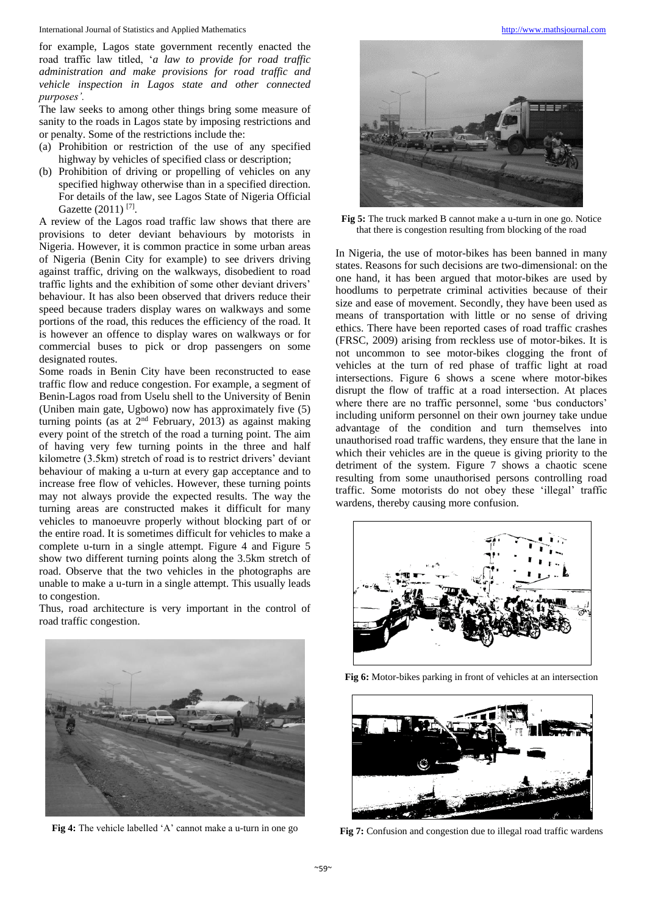International Journal of Statistics and Applied Mathematics [http://www.mathsjournal.com](http://www.mathsjournal.com/)

for example, Lagos state government recently enacted the road traffic law titled, '*a law to provide for road traffic administration and make provisions for road traffic and vehicle inspection in Lagos state and other connected purposes'.*

The law seeks to among other things bring some measure of sanity to the roads in Lagos state by imposing restrictions and or penalty. Some of the restrictions include the:

- (a) Prohibition or restriction of the use of any specified highway by vehicles of specified class or description;
- (b) Prohibition of driving or propelling of vehicles on any specified highway otherwise than in a specified direction. For details of the law, see Lagos State of Nigeria Official Gazette (2011)<sup>[7]</sup>.

A review of the Lagos road traffic law shows that there are provisions to deter deviant behaviours by motorists in Nigeria. However, it is common practice in some urban areas of Nigeria (Benin City for example) to see drivers driving against traffic, driving on the walkways, disobedient to road traffic lights and the exhibition of some other deviant drivers' behaviour. It has also been observed that drivers reduce their speed because traders display wares on walkways and some portions of the road, this reduces the efficiency of the road. It is however an offence to display wares on walkways or for commercial buses to pick or drop passengers on some designated routes.

Some roads in Benin City have been reconstructed to ease traffic flow and reduce congestion. For example, a segment of Benin-Lagos road from Uselu shell to the University of Benin (Uniben main gate, Ugbowo) now has approximately five (5) turning points (as at 2nd February, 2013) as against making every point of the stretch of the road a turning point. The aim of having very few turning points in the three and half kilometre (3.5km) stretch of road is to restrict drivers' deviant behaviour of making a u-turn at every gap acceptance and to increase free flow of vehicles. However, these turning points may not always provide the expected results. The way the turning areas are constructed makes it difficult for many vehicles to manoeuvre properly without blocking part of or the entire road. It is sometimes difficult for vehicles to make a complete u-turn in a single attempt. Figure 4 and Figure 5 show two different turning points along the 3.5km stretch of road. Observe that the two vehicles in the photographs are unable to make a u-turn in a single attempt. This usually leads to congestion.

Thus, road architecture is very important in the control of road traffic congestion.



**Fig 4:** The vehicle labelled 'A' cannot make a u-turn in one go



**Fig 5:** The truck marked B cannot make a u-turn in one go. Notice that there is congestion resulting from blocking of the road

In Nigeria, the use of motor-bikes has been banned in many states. Reasons for such decisions are two-dimensional: on the one hand, it has been argued that motor-bikes are used by hoodlums to perpetrate criminal activities because of their size and ease of movement. Secondly, they have been used as means of transportation with little or no sense of driving ethics. There have been reported cases of road traffic crashes (FRSC, 2009) arising from reckless use of motor-bikes. It is not uncommon to see motor-bikes clogging the front of vehicles at the turn of red phase of traffic light at road intersections. Figure 6 shows a scene where motor-bikes disrupt the flow of traffic at a road intersection. At places where there are no traffic personnel, some 'bus conductors' including uniform personnel on their own journey take undue advantage of the condition and turn themselves into unauthorised road traffic wardens, they ensure that the lane in which their vehicles are in the queue is giving priority to the detriment of the system. Figure 7 shows a chaotic scene resulting from some unauthorised persons controlling road traffic. Some motorists do not obey these 'illegal' traffic wardens, thereby causing more confusion.



**Fig 6:** Motor-bikes parking in front of vehicles at an intersection



**Fig 7:** Confusion and congestion due to illegal road traffic wardens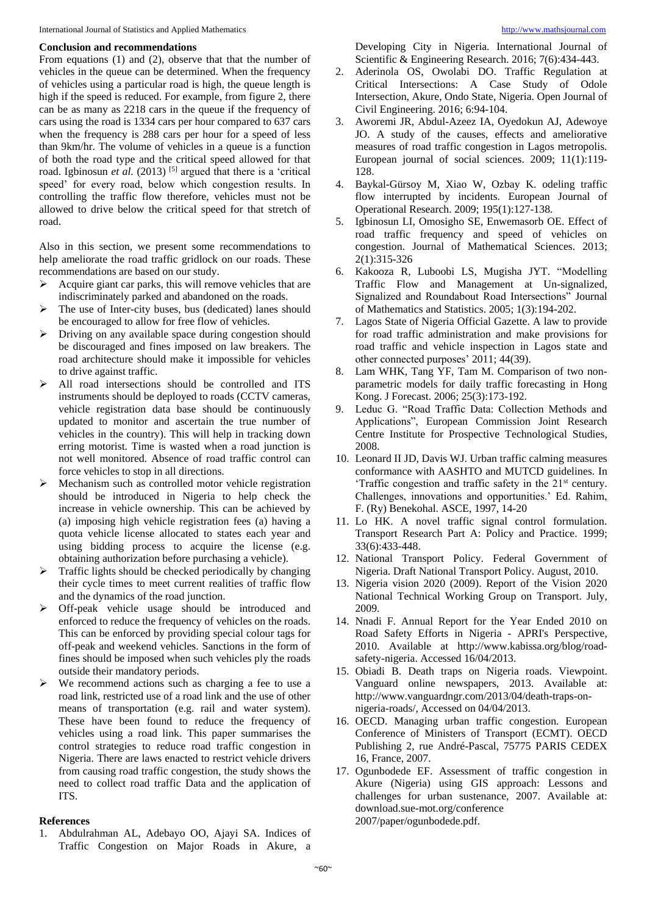#### **Conclusion and recommendations**

From equations (1) and (2), observe that that the number of vehicles in the queue can be determined. When the frequency of vehicles using a particular road is high, the queue length is high if the speed is reduced. For example, from figure 2, there can be as many as 2218 cars in the queue if the frequency of cars using the road is 1334 cars per hour compared to 637 cars when the frequency is 288 cars per hour for a speed of less than 9km/hr. The volume of vehicles in a queue is a function of both the road type and the critical speed allowed for that road. Igbinosun et al. (2013)<sup>[5]</sup> argued that there is a 'critical speed' for every road, below which congestion results. In controlling the traffic flow therefore, vehicles must not be allowed to drive below the critical speed for that stretch of road.

Also in this section, we present some recommendations to help ameliorate the road traffic gridlock on our roads. These recommendations are based on our study.

- Acquire giant car parks, this will remove vehicles that are indiscriminately parked and abandoned on the roads.
- The use of Inter-city buses, bus (dedicated) lanes should be encouraged to allow for free flow of vehicles.
- Driving on any available space during congestion should be discouraged and fines imposed on law breakers. The road architecture should make it impossible for vehicles to drive against traffic.
- All road intersections should be controlled and ITS instruments should be deployed to roads (CCTV cameras, vehicle registration data base should be continuously updated to monitor and ascertain the true number of vehicles in the country). This will help in tracking down erring motorist. Time is wasted when a road junction is not well monitored. Absence of road traffic control can force vehicles to stop in all directions.
- Mechanism such as controlled motor vehicle registration should be introduced in Nigeria to help check the increase in vehicle ownership. This can be achieved by (a) imposing high vehicle registration fees (a) having a quota vehicle license allocated to states each year and using bidding process to acquire the license (e.g. obtaining authorization before purchasing a vehicle).
- $\triangleright$  Traffic lights should be checked periodically by changing their cycle times to meet current realities of traffic flow and the dynamics of the road junction.
- Off-peak vehicle usage should be introduced and enforced to reduce the frequency of vehicles on the roads. This can be enforced by providing special colour tags for off-peak and weekend vehicles. Sanctions in the form of fines should be imposed when such vehicles ply the roads outside their mandatory periods.
- $\triangleright$  We recommend actions such as charging a fee to use a road link, restricted use of a road link and the use of other means of transportation (e.g. rail and water system). These have been found to reduce the frequency of vehicles using a road link. This paper summarises the control strategies to reduce road traffic congestion in Nigeria. There are laws enacted to restrict vehicle drivers from causing road traffic congestion, the study shows the need to collect road traffic Data and the application of ITS.

#### **References**

1. Abdulrahman AL, Adebayo OO, Ajayi SA. Indices of Traffic Congestion on Major Roads in Akure, a

Developing City in Nigeria. International Journal of Scientific & Engineering Research. 2016; 7(6):434-443.

- 2. Aderinola OS, Owolabi DO. Traffic Regulation at Critical Intersections: A Case Study of Odole Intersection, Akure, Ondo State, Nigeria. Open Journal of Civil Engineering. 2016; 6:94-104.
- 3. Aworemi JR, Abdul-Azeez IA, Oyedokun AJ, Adewoye JO. A study of the causes, effects and ameliorative measures of road traffic congestion in Lagos metropolis. European journal of social sciences. 2009; 11(1):119- 128.
- 4. Baykal-Gürsoy M, Xiao W, Ozbay K. odeling traffic flow interrupted by incidents. European Journal of Operational Research. 2009; 195(1):127-138.
- 5. Igbinosun LI, Omosigho SE, Enwemasorb OE. Effect of road traffic frequency and speed of vehicles on congestion. Journal of Mathematical Sciences. 2013; 2(1):315-326
- 6. Kakooza R, Luboobi LS, Mugisha JYT. "Modelling Traffic Flow and Management at Un-signalized, Signalized and Roundabout Road Intersections" Journal of Mathematics and Statistics. 2005; 1(3):194-202.
- 7. Lagos State of Nigeria Official Gazette. A law to provide for road traffic administration and make provisions for road traffic and vehicle inspection in Lagos state and other connected purposes' 2011; 44(39).
- 8. Lam WHK, Tang YF, Tam M. Comparison of two nonparametric models for daily traffic forecasting in Hong Kong. J Forecast. 2006; 25(3):173-192.
- 9. Leduc G. "Road Traffic Data: Collection Methods and Applications", European Commission Joint Research Centre Institute for Prospective Technological Studies, 2008.
- 10. Leonard II JD, Davis WJ. Urban traffic calming measures conformance with AASHTO and MUTCD guidelines. In 'Traffic congestion and traffic safety in the 21st century. Challenges, innovations and opportunities.' Ed. Rahim, F. (Ry) Benekohal. ASCE, 1997, 14-20
- 11. Lo HK. A novel traffic signal control formulation. Transport Research Part A: Policy and Practice. 1999; 33(6):433-448.
- 12. National Transport Policy. Federal Government of Nigeria. Draft National Transport Policy. August, 2010.
- 13. Nigeria vision 2020 (2009). Report of the Vision 2020 National Technical Working Group on Transport. July, 2009.
- 14. Nnadi F. Annual Report for the Year Ended 2010 on Road Safety Efforts in Nigeria - APRI's Perspective, 2010. Available at http://www.kabissa.org/blog/roadsafety-nigeria. Accessed 16/04/2013.
- 15. Obiadi B. Death traps on Nigeria roads. Viewpoint. Vanguard online newspapers, 2013. Available at: http://www.vanguardngr.com/2013/04/death-traps-onnigeria-roads/, Accessed on 04/04/2013.
- 16. OECD. Managing urban traffic congestion. European Conference of Ministers of Transport (ECMT). OECD Publishing 2, rue André-Pascal, 75775 PARIS CEDEX 16, France, 2007.
- 17. Ogunbodede EF. Assessment of traffic congestion in Akure (Nigeria) using GIS approach: Lessons and challenges for urban sustenance, 2007. Available at: download.sue-mot.org/conference 2007/paper/ogunbodede.pdf.